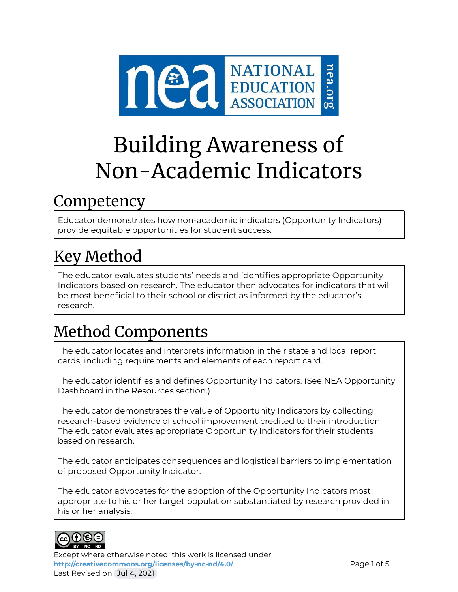

# Building Awareness of Non-Academic Indicators

### Competency

Educator demonstrates how non-academic indicators (Opportunity Indicators) provide equitable opportunities for student success.

# Key Method

The educator evaluates students' needs and identifies appropriate Opportunity Indicators based on research. The educator then advocates for indicators that will be most beneficial to their school or district as informed by the educator's research.

## Method Components

The educator locates and interprets information in their state and local report cards, including requirements and elements of each report card.

The educator identifies and defines Opportunity Indicators. (See NEA Opportunity Dashboard in the Resources section.)

The educator demonstrates the value of Opportunity Indicators by collecting research-based evidence of school improvement credited to their introduction. The educator evaluates appropriate Opportunity Indicators for their students based on research.

The educator anticipates consequences and logistical barriers to implementation of proposed Opportunity Indicator.

The educator advocates for the adoption of the Opportunity Indicators most appropriate to his or her target population substantiated by research provided in his or her analysis.



Except where otherwise noted, this work is licensed under: <http://creativecommons.org/licenses/by-nc-nd/4.0/> **Page 1 of 5** Last Revised on Jul 4, 2021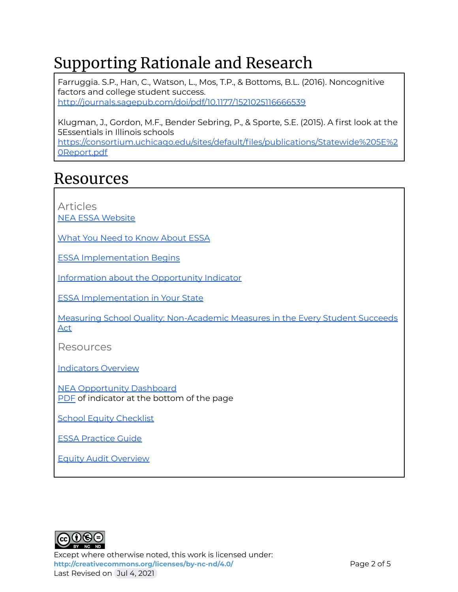### Supporting Rationale and Research

Farruggia. S.P., Han, C., Watson, L., Mos, T.P., & Bottoms, B.L. (2016). Noncognitive factors and college student success. <http://journals.sagepub.com/doi/pdf/10.1177/1521025116666539>

Klugman, J., Gordon, M.F., Bender Sebring, P., & Sporte, S.E. (2015). A first look at the 5Essentials in Illinois schools

[https://consortium.uchicago.edu/sites/default/files/publications/Statewide%205E%2](https://consortium.uchicago.edu/sites/default/files/publications/Statewide%205E%20Report.pdf) [0Report.pdf](https://consortium.uchicago.edu/sites/default/files/publications/Statewide%205E%20Report.pdf)

### Resources

Articles NEA ESSA [Website](https://www.nea.org/student-success/smart-just-policies/essa)

What You Need to Know [About](https://www.nea.org/resource-library/just-facts-what-you-need-know-about-essa) ESSA

ESSA [Implementation](https://www.nea.org/advocating-for-change/new-from-nea/states-setting-table-essa-implementation) Begins

Information about the [Opportunity](https://www.aypf.org/blog/essas-non-academic-indicator-what-are-we-talking-about/) Indicator

ESSA [Implementation](http://myschoolmyvoice.nea.org/in-your-state/) in Your State

Measuring School Quality: [Non-Academic](https://www.huffpost.com/entry/measuring-school-quality_b_9871706) Measures in the Every Student Succeeds [Act](https://www.huffpost.com/entry/measuring-school-quality_b_9871706)

Resources

[Indicators](https://studentscantwait.org/resource/indicators-include-school-ratings/) Overview

NEA [Opportunity](https://www.nea.org/resource-library/opportunity-dashboard-indicators-essa) Dashboard [PDF](https://www.nea.org/sites/default/files/2020-08/Opportunity%20Dashboard%20Indicators%20%281%29.pdf) of indicator at the bottom of the page

**School Equity [Checklist](http://pages.email.nea.org/your-school-checklist/?_ga=2.50901870.697297351.1625423452-452654973.1625423452)** 

ESSA [Practice](https://www.nea.org/resource-library/essa-advocacy-action-handbook-and-practice-guides) Guide

Equity Audit [Overview](https://www.edweek.org/teaching-learning/how-does-an-equity-audit-work/2015/09)



Except where otherwise noted, this work is licensed under: <http://creativecommons.org/licenses/by-nc-nd/4.0/><br>
Page 2 of 5 Last Revised on Jul 4, 2021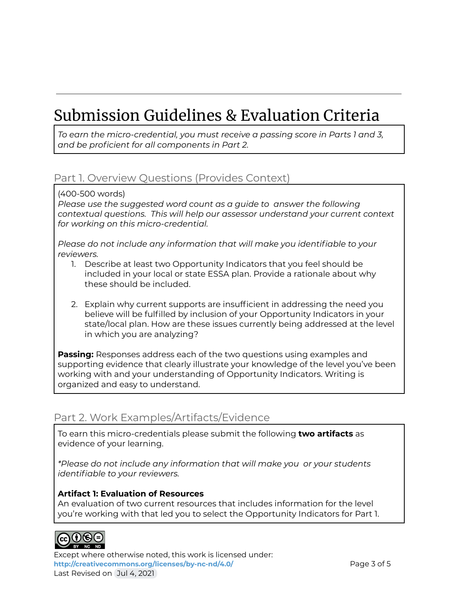### Submission Guidelines & Evaluation Criteria

*To earn the micro-credential, you must receive a passing score in Parts 1 and 3, and be proficient for all components in Part 2.*

#### Part 1. Overview Questions (Provides Context)

(400-500 words)

*Please use the suggested word count as a guide to answer the following contextual questions. This will help our assessor understand your current context for working on this micro-credential.*

*Please do not include any information that will make you identifiable to your reviewers.*

- 1. Describe at least two Opportunity Indicators that you feel should be included in your local or state ESSA plan. Provide a rationale about why these should be included.
- 2. Explain why current supports are insufficient in addressing the need you believe will be fulfilled by inclusion of your Opportunity Indicators in your state/local plan. How are these issues currently being addressed at the level in which you are analyzing?

**Passing:** Responses address each of the two questions using examples and supporting evidence that clearly illustrate your knowledge of the level you've been working with and your understanding of Opportunity Indicators. Writing is organized and easy to understand.

#### Part 2. Work Examples/Artifacts/Evidence

To earn this micro-credentials please submit the following **two artifacts** as evidence of your learning.

*\*Please do not include any information that will make you or your students identifiable to your reviewers.*

#### **Artifact 1: Evaluation of Resources**

An evaluation of two current resources that includes information for the level you're working with that led you to select the Opportunity Indicators for Part 1.



Except where otherwise noted, this work is licensed under: <http://creativecommons.org/licenses/by-nc-nd/4.0/><br>
Page 3 of 5 Last Revised on Jul 4, 2021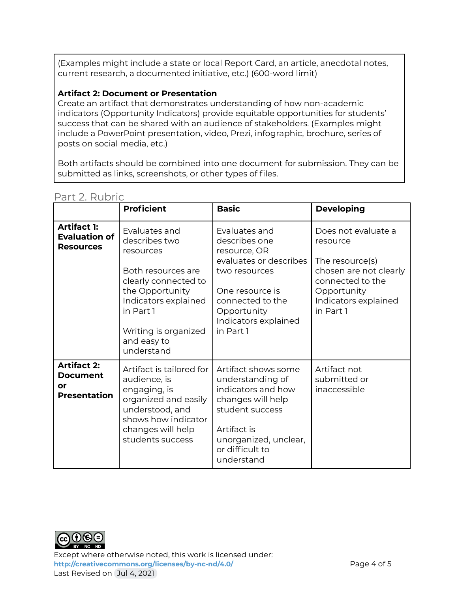(Examples might include a state or local Report Card, an article, anecdotal notes, current research, a documented initiative, etc.) (600-word limit)

#### **Artifact 2: Document or Presentation**

Create an artifact that demonstrates understanding of how non-academic indicators (Opportunity Indicators) provide equitable opportunities for students' success that can be shared with an audience of stakeholders. (Examples might include a PowerPoint presentation, video, Prezi, infographic, brochure, series of posts on social media, etc.)

Both artifacts should be combined into one document for submission. They can be submitted as links, screenshots, or other types of files.

|                                                                | <b>Proficient</b>                                                                                                                                                                                      | <b>Basic</b>                                                                                                                                                                         | <b>Developing</b>                                                                                                                                    |
|----------------------------------------------------------------|--------------------------------------------------------------------------------------------------------------------------------------------------------------------------------------------------------|--------------------------------------------------------------------------------------------------------------------------------------------------------------------------------------|------------------------------------------------------------------------------------------------------------------------------------------------------|
| <b>Artifact 1:</b><br><b>Evaluation of</b><br><b>Resources</b> | Evaluates and<br>describes two<br>resources<br>Both resources are<br>clearly connected to<br>the Opportunity<br>Indicators explained<br>in Part 1<br>Writing is organized<br>and easy to<br>understand | Evaluates and<br>describes one<br>resource, OR<br>evaluates or describes<br>two resources<br>One resource is<br>connected to the<br>Opportunity<br>Indicators explained<br>in Part 1 | Does not evaluate a<br>resource<br>The resource(s)<br>chosen are not clearly<br>connected to the<br>Opportunity<br>Indicators explained<br>in Part 1 |
| <b>Artifact 2:</b><br>Document<br>or<br><b>Presentation</b>    | Artifact is tailored for<br>audience, is<br>engaging, is<br>organized and easily<br>understood, and<br>shows how indicator<br>changes will help<br>students success                                    | Artifact shows some<br>understanding of<br>indicators and how<br>changes will help<br>student success<br>Artifact is<br>unorganized, unclear,<br>or difficult to<br>understand       | Artifact not<br>submitted or<br>inaccessible                                                                                                         |

#### Part 2. Rubric



Except where otherwise noted, this work is licensed under: <http://creativecommons.org/licenses/by-nc-nd/4.0/><br>
Page 4 of 5 Last Revised on Jul 4, 2021